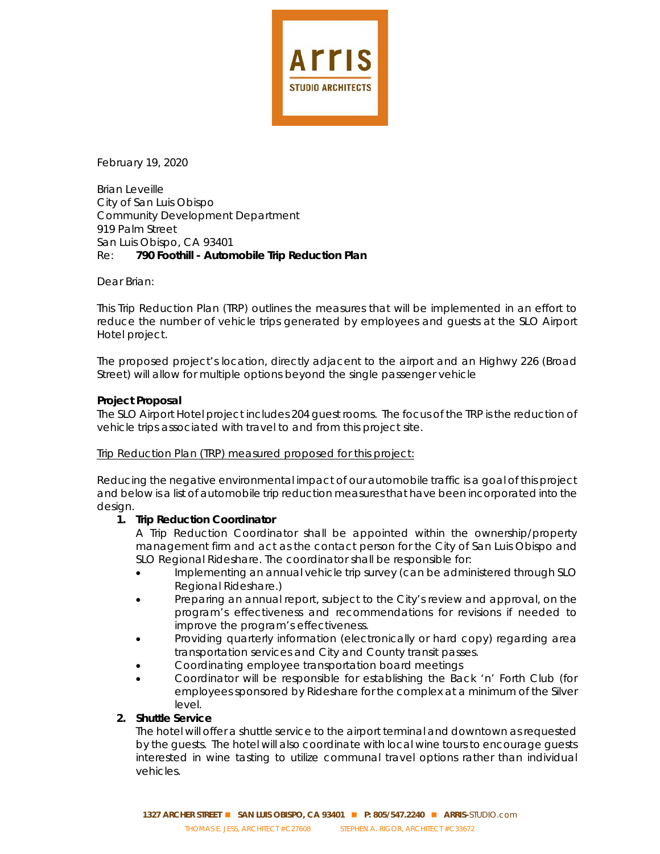

February 19, 2020

Brian Leveille City of San Luis Obispo Community Development Department 919 Palm Street San Luis Obispo, CA 93401 Re: **790 Foothill - Automobile Trip Reduction Plan**

Dear Brian:

This Trip Reduction Plan (TRP) outlines the measures that will be implemented in an effort to reduce the number of vehicle trips generated by employees and guests at the SLO Airport Hotel project.

The proposed project's location, directly adjacent to the airport and an Highwy 226 (Broad Street) will allow for multiple options beyond the single passenger vehicle

## **Project Proposal**

The SLO Airport Hotel project includes 204 guest rooms. The focus of the TRP is the reduction of vehicle trips associated with travel to and from this project site.

Trip Reduction Plan (TRP) measured proposed for this project:

Reducing the negative environmental impact of our automobile traffic is a goal of this project and below is a list of automobile trip reduction measures that have been incorporated into the design.

## **1. Trip Reduction Coordinator**

A Trip Reduction Coordinator shall be appointed within the ownership/property management firm and act as the contact person for the City of San Luis Obispo and SLO Regional Rideshare. The coordinator shall be responsible for:

- Implementing an annual vehicle trip survey (can be administered through SLO Regional Rideshare.)
- Preparing an annual report, subject to the City's review and approval, on the program's effectiveness and recommendations for revisions if needed to improve the program's effectiveness.
- Providing quarterly information (electronically or hard copy) regarding area transportation services and City and County transit passes.
- Coordinating employee transportation board meetings
- Coordinator will be responsible for establishing the Back 'n' Forth Club (for employees sponsored by Rideshare for the complex at a minimum of the Silver level.

## **2. Shuttle Service**

The hotel will offer a shuttle service to the airport terminal and downtown as requested by the guests. The hotel will also coordinate with local wine tours to encourage guests interested in wine tasting to utilize communal travel options rather than individual vehicles.